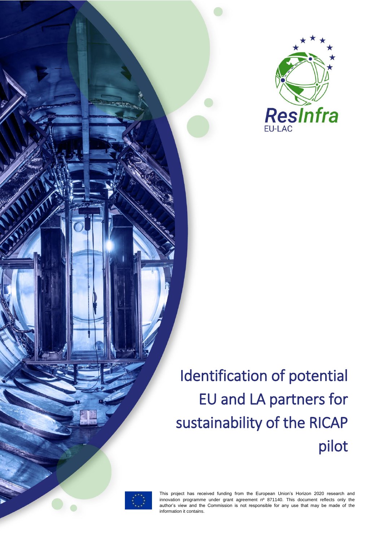

# Identification of potential EU and LA partners for sustainability of the RICAP pilot



––

This project has received funding from the European Union's Horizon 2020 research and innovation programme under grant agreement nº 871140. This document reflects only the author's view and the Commission is not responsible for any use that may be made of the information it contains.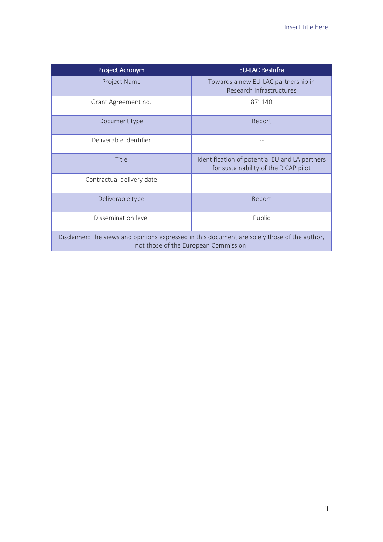| Project Acronym                                                                                                                        | <b>EU-LAC ResInfra</b>                                                                  |  |
|----------------------------------------------------------------------------------------------------------------------------------------|-----------------------------------------------------------------------------------------|--|
| Project Name                                                                                                                           | Towards a new EU-LAC partnership in<br>Research Infrastructures                         |  |
| Grant Agreement no.                                                                                                                    | 871140                                                                                  |  |
| Document type                                                                                                                          | Report                                                                                  |  |
| Deliverable identifier                                                                                                                 |                                                                                         |  |
| Title                                                                                                                                  | Identification of potential EU and LA partners<br>for sustainability of the RICAP pilot |  |
| Contractual delivery date                                                                                                              |                                                                                         |  |
| Deliverable type                                                                                                                       | Report                                                                                  |  |
| Dissemination level                                                                                                                    | Public                                                                                  |  |
| Disclaimer: The views and opinions expressed in this document are solely those of the author,<br>not those of the European Commission. |                                                                                         |  |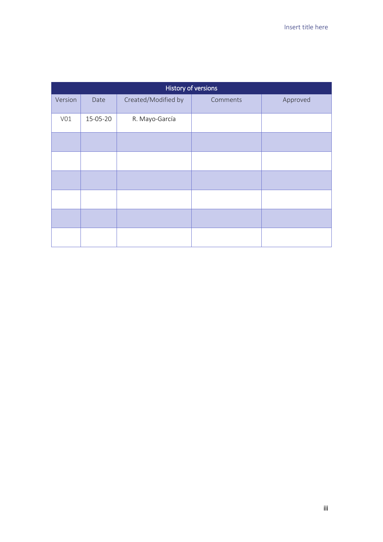| History of versions |          |                     |          |          |
|---------------------|----------|---------------------|----------|----------|
| Version             | Date     | Created/Modified by | Comments | Approved |
| V01                 | 15-05-20 | R. Mayo-García      |          |          |
|                     |          |                     |          |          |
|                     |          |                     |          |          |
|                     |          |                     |          |          |
|                     |          |                     |          |          |
|                     |          |                     |          |          |
|                     |          |                     |          |          |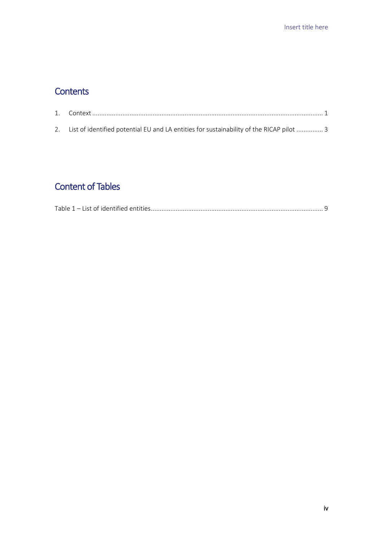### **Contents**

| 2. List of identified potential EU and LA entities for sustainability of the RICAP pilot  3 |  |
|---------------------------------------------------------------------------------------------|--|

## Content of Tables

| $T$ abla $\sim$<br>ist of identified entitle |  |  |
|----------------------------------------------|--|--|
|----------------------------------------------|--|--|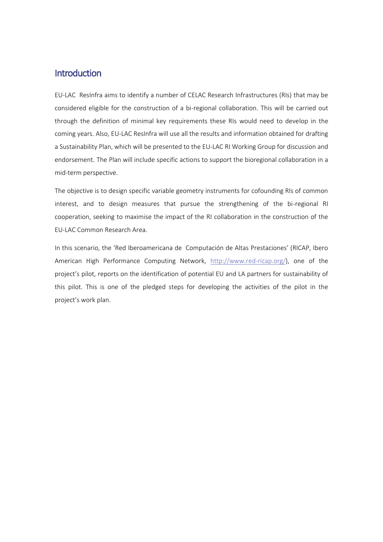### **Introduction**

EU-LAC ResInfra aims to identify a number of CELAC Research Infrastructures (RIs) that may be considered eligible for the construction of a bi-regional collaboration. This will be carried out through the definition of minimal key requirements these RIs would need to develop in the coming years. Also, EU-LAC ResInfra will use all the results and information obtained for drafting a Sustainability Plan, which will be presented to the EU-LAC RI Working Group for discussion and endorsement. The Plan will include specific actions to support the bioregional collaboration in a mid-term perspective.

The objective is to design specific variable geometry instruments for cofounding RIs of common interest, and to design measures that pursue the strengthening of the bi-regional RI cooperation, seeking to maximise the impact of the RI collaboration in the construction of the EU-LAC Common Research Area.

In this scenario, the 'Red Iberoamericana de Computación de Altas Prestaciones' (RICAP, Ibero American High Performance Computing Network, [http://www.red-ricap.org/\)](http://www.red-ricap.org/), one of the project's pilot, reports on the identification of potential EU and LA partners for sustainability of this pilot. This is one of the pledged steps for developing the activities of the pilot in the project's work plan.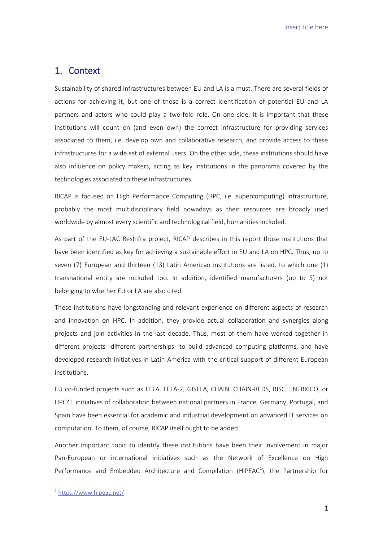Insert title here

### <span id="page-5-0"></span>1. Context

Sustainability of shared infrastructures between EU and LA is a must. There are several fields of actions for achieving it, but one of those is a correct identification of potential EU and LA partners and actors who could play a two-fold role. On one side, it is important that these institutions will count on (and even own) the correct infrastructure for providing services associated to them, i.e. develop own and collaborative research, and provide access to these infrastructures for a wide set of external users. On the other side, these institutions should have also influence on policy makers, acting as key institutions in the panorama covered by the technologies associated to these infrastructures.

RICAP is focused on High Performance Computing (HPC, i.e. supercomputing) infrastructure, probably the most multidisciplinary field nowadays as their resources are broadly used worldwide by almost every scientific and technological field, humanities included.

As part of the EU-LAC ResInfra project, RICAP describes in this report those institutions that have been identified as key for achieving a sustainable effort in EU and LA on HPC. Thus, up to seven (7) European and thirteen (13) Latin American institutions are listed, to which one (1) transnational entity are included too. In addition, identified manufacturers (up to 5) not belonging to whether EU or LA are also cited.

These institutions have longstanding and relevant experience on different aspects of research and innovation on HPC. In addition, they provide actual collaboration and synergies along projects and join activities in the last decade. Thus, most of them have worked together in different projects -different partnerships- to build advanced computing platforms, and have developed research initiatives in Latin America with the critical support of different European institutions.

EU co-funded projects such as EELA, EELA-2, GISELA, CHAIN, CHAIN-REDS, RISC, ENERXICO, or HPC4E initiatives of collaboration between national partners in France, Germany, Portugal, and Spain have been essential for academic and industrial development on advanced IT services on computation. To them, of course, RICAP itself ought to be added.

Another important topic to identify these institutions have been their involvement in major Pan-European or international initiatives such as the Network of Excellence on High Performance and Embedded Architecture and Compilation (HiPEAC<sup>1</sup>), the Partnership for

**.** 

<sup>1</sup> <https://www.hipeac.net/>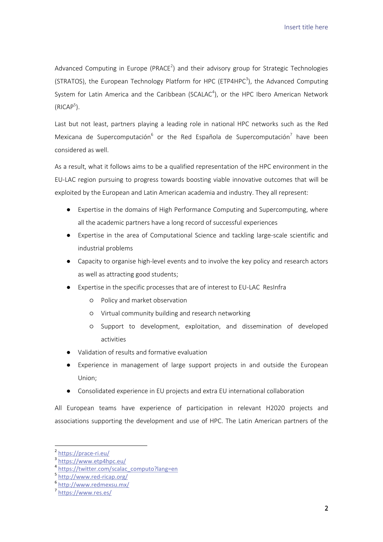Insert title here

Advanced Computing in Europe (PRACE<sup>2</sup>) and their advisory group for Strategic Technologies (STRATOS), the European Technology Platform for HPC (ETP4HPC<sup>3</sup>), the Advanced Computing System for Latin America and the Caribbean (SCALAC<sup>4</sup>), or the HPC Ibero American Network  $(RICAP<sup>5</sup>)$ .

Last but not least, partners playing a leading role in national HPC networks such as the Red Mexicana de Supercomputación<sup>6</sup> or the Red Española de Supercomputación<sup>7</sup> have been considered as well.

As a result, what it follows aims to be a qualified representation of the HPC environment in the EU-LAC region pursuing to progress towards boosting viable innovative outcomes that will be exploited by the European and Latin American academia and industry. They all represent:

- Expertise in the domains of High Performance Computing and Supercomputing, where all the academic partners have a long record of successful experiences
- Expertise in the area of Computational Science and tackling large-scale scientific and industrial problems
- Capacity to organise high-level events and to involve the key policy and research actors as well as attracting good students;
- Expertise in the specific processes that are of interest to EU-LAC ResInfra
	- Policy and market observation
	- Virtual community building and research networking
	- Support to development, exploitation, and dissemination of developed activities
- Validation of results and formative evaluation
- Experience in management of large support projects in and outside the European Union;
- Consolidated experience in EU projects and extra EU international collaboration

All European teams have experience of participation in relevant H2020 projects and associations supporting the development and use of HPC. The Latin American partners of the

**.** 

<sup>2</sup> <https://prace-ri.eu/>

<sup>3</sup> <https://www.etp4hpc.eu/>

<sup>&</sup>lt;sup>4</sup> [https://twitter.com/scalac\\_computo?lang=en](https://twitter.com/scalac_computo?lang=en)

<sup>5</sup> <http://www.red-ricap.org/>

<sup>6</sup> <http://www.redmexsu.mx/>

<sup>7</sup> <https://www.res.es/>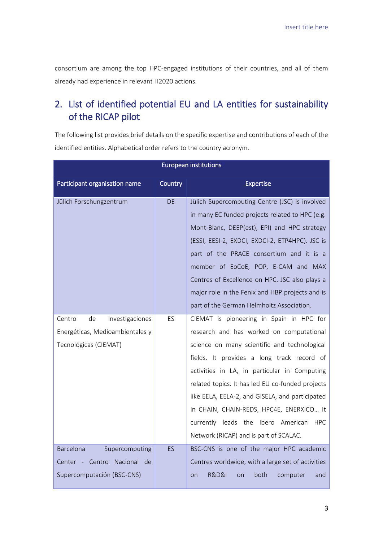consortium are among the top HPC-engaged institutions of their countries, and all of them already had experience in relevant H2020 actions.

### <span id="page-7-0"></span>2. List of identified potential EU and LA entities for sustainability of the RICAP pilot

The following list provides brief details on the specific expertise and contributions of each of the identified entities. Alphabetical order refers to the country acronym.

| <b>European institutions</b>                  |           |                                                                    |
|-----------------------------------------------|-----------|--------------------------------------------------------------------|
| Participant organisation name                 | Country   | <b>Expertise</b>                                                   |
| Jülich Forschungzentrum                       | <b>DE</b> | Jülich Supercomputing Centre (JSC) is involved                     |
|                                               |           | in many EC funded projects related to HPC (e.g.                    |
|                                               |           | Mont-Blanc, DEEP(est), EPI) and HPC strategy                       |
|                                               |           | (ESSI, EESI-2, EXDCI, EXDCI-2, ETP4HPC). JSC is                    |
|                                               |           | part of the PRACE consortium and it is a                           |
|                                               |           | member of EoCoE, POP, E-CAM and MAX                                |
|                                               |           | Centres of Excellence on HPC. JSC also plays a                     |
|                                               |           | major role in the Fenix and HBP projects and is                    |
|                                               |           | part of the German Helmholtz Association.                          |
| de<br>Investigaciones<br>Centro               | ES        | CIEMAT is pioneering in Spain in HPC for                           |
| Energéticas, Medioambientales y               |           | research and has worked on computational                           |
| Tecnológicas (CIEMAT)                         |           | science on many scientific and technological                       |
|                                               |           | fields. It provides a long track record of                         |
|                                               |           | activities in LA, in particular in Computing                       |
|                                               |           | related topics. It has led EU co-funded projects                   |
|                                               |           | like EELA, EELA-2, and GISELA, and participated                    |
|                                               |           | in CHAIN, CHAIN-REDS, HPC4E, ENERXICO It                           |
|                                               |           | currently leads the Ibero American<br><b>HPC</b>                   |
|                                               |           | Network (RICAP) and is part of SCALAC.                             |
| Barcelona<br>Supercomputing                   | ES        | BSC-CNS is one of the major HPC academic                           |
| Nacional de<br>Centro<br>Center<br>$\sim$ $-$ |           | Centres worldwide, with a large set of activities                  |
| Supercomputación (BSC-CNS)                    |           | <b>R&amp;D&amp;I</b><br>both<br>computer<br>and<br>on<br><b>on</b> |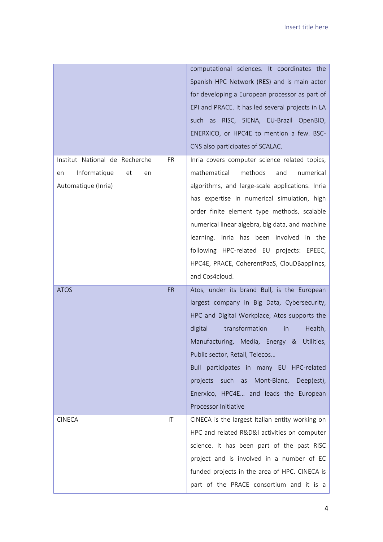|                                                                                         |           | computational sciences. It coordinates the<br>Spanish HPC Network (RES) and is main actor<br>for developing a European processor as part of<br>EPI and PRACE. It has led several projects in LA<br>such as RISC, SIENA, EU-Brazil OpenBIO,<br>ENERXICO, or HPC4E to mention a few. BSC-                                                                                                                                                                                                        |
|-----------------------------------------------------------------------------------------|-----------|------------------------------------------------------------------------------------------------------------------------------------------------------------------------------------------------------------------------------------------------------------------------------------------------------------------------------------------------------------------------------------------------------------------------------------------------------------------------------------------------|
| Institut National de Recherche<br>Informatique<br>et<br>en<br>en<br>Automatique (Inria) | <b>FR</b> | CNS also participates of SCALAC.<br>Inria covers computer science related topics,<br>mathematical<br>methods<br>and<br>numerical<br>algorithms, and large-scale applications. Inria<br>has expertise in numerical simulation, high<br>order finite element type methods, scalable<br>numerical linear algebra, big data, and machine<br>learning. Inria has been involved in the<br>following HPC-related EU projects: EPEEC,<br>HPC4E, PRACE, CoherentPaaS, ClouDBapplincs,<br>and Cos4cloud. |
| <b>ATOS</b>                                                                             | <b>FR</b> | Atos, under its brand Bull, is the European<br>largest company in Big Data, Cybersecurity,<br>HPC and Digital Workplace, Atos supports the<br>digital<br>transformation<br>Health,<br>in<br>Manufacturing, Media, Energy &<br>Utilities,<br>Public sector, Retail, Telecos<br>Bull participates in many EU<br>HPC-related<br>projects such as<br>Mont-Blanc,<br>Deep(est),<br>Enerxico, HPC4E and leads the European<br>Processor Initiative                                                   |
| <b>CINECA</b>                                                                           | IT        | CINECA is the largest Italian entity working on<br>HPC and related R&D&I activities on computer<br>science. It has been part of the past RISC<br>project and is involved in a number of EC<br>funded projects in the area of HPC. CINECA is<br>part of the PRACE consortium and it is a                                                                                                                                                                                                        |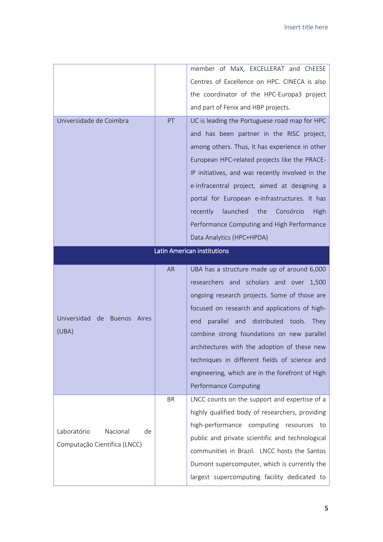| Centres of Excellence on HPC. CINECA is also<br>the coordinator of the HPC-Europa3 project<br>and part of Fenix and HBP projects.<br>Universidade de Coimbra<br>PT<br>UC is leading the Portuguese road map for HPC |  |  |
|---------------------------------------------------------------------------------------------------------------------------------------------------------------------------------------------------------------------|--|--|
|                                                                                                                                                                                                                     |  |  |
|                                                                                                                                                                                                                     |  |  |
|                                                                                                                                                                                                                     |  |  |
|                                                                                                                                                                                                                     |  |  |
| and has been partner in the RISC project,                                                                                                                                                                           |  |  |
| among others. Thus, It has experience in other                                                                                                                                                                      |  |  |
| European HPC-related projects like the PRACE-                                                                                                                                                                       |  |  |
| IP initiatives, and was recently involved in the                                                                                                                                                                    |  |  |
| e-Infracentral project, aimed at designing a                                                                                                                                                                        |  |  |
| portal for European e-infrastructures. It has                                                                                                                                                                       |  |  |
| launched<br>the<br>Consórcio<br>recently<br>High                                                                                                                                                                    |  |  |
| Performance Computing and High Performance                                                                                                                                                                          |  |  |
| Data Analytics (HPC+HPDA)                                                                                                                                                                                           |  |  |
| <b>Latin American institutions</b>                                                                                                                                                                                  |  |  |
| <b>AR</b><br>UBA has a structure made up of around 6,000                                                                                                                                                            |  |  |
| researchers and scholars and<br>over<br>1,500                                                                                                                                                                       |  |  |
| ongoing research projects. Some of those are                                                                                                                                                                        |  |  |
| focused on research and applications of high-                                                                                                                                                                       |  |  |
| Universidad<br>de<br><b>Buenos</b><br>Aires<br>parallel<br>distributed<br>and<br>tools.<br>end<br>They                                                                                                              |  |  |
| (UBA)<br>combine strong foundations on new parallel                                                                                                                                                                 |  |  |
| architectures with the adoption of these new                                                                                                                                                                        |  |  |
| techniques in different fields of science and                                                                                                                                                                       |  |  |
| engineering, which are in the forefront of High                                                                                                                                                                     |  |  |
| Performance Computing                                                                                                                                                                                               |  |  |
| LNCC counts on the support and expertise of a<br><b>BR</b>                                                                                                                                                          |  |  |
| highly qualified body of researchers, providing                                                                                                                                                                     |  |  |
| high-performance<br>computing<br>resources<br>to<br>Laboratório<br>Nacional<br>de                                                                                                                                   |  |  |
| public and private scientific and technological<br>Computação Científica (LNCC)                                                                                                                                     |  |  |
| communities in Brazil. LNCC hosts the Santos                                                                                                                                                                        |  |  |
| Dumont supercomputer, which is currently the                                                                                                                                                                        |  |  |
| largest supercomputing facility dedicated to                                                                                                                                                                        |  |  |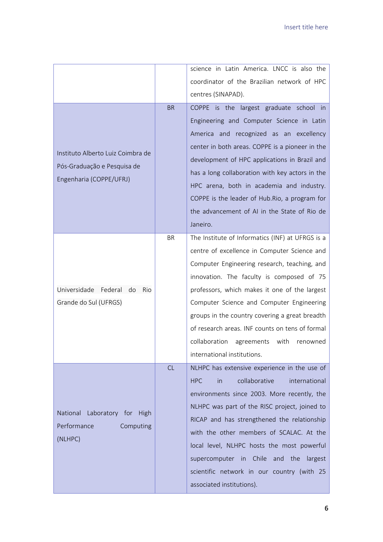|                                     |           | science in Latin America. LNCC is also the         |
|-------------------------------------|-----------|----------------------------------------------------|
|                                     |           | coordinator of the Brazilian network of HPC        |
|                                     |           | centres (SINAPAD).                                 |
|                                     | <b>BR</b> | COPPE is the largest graduate school in            |
|                                     |           | Engineering and Computer Science in Latin          |
|                                     |           | America and recognized as an excellency            |
| Instituto Alberto Luiz Coimbra de   |           | center in both areas. COPPE is a pioneer in the    |
| Pós-Graduação e Pesquisa de         |           | development of HPC applications in Brazil and      |
| Engenharia (COPPE/UFRJ)             |           | has a long collaboration with key actors in the    |
|                                     |           | HPC arena, both in academia and industry.          |
|                                     |           | COPPE is the leader of Hub. Rio, a program for     |
|                                     |           | the advancement of AI in the State of Rio de       |
|                                     |           | Janeiro.                                           |
|                                     | <b>BR</b> | The Institute of Informatics (INF) at UFRGS is a   |
|                                     |           | centre of excellence in Computer Science and       |
|                                     |           | Computer Engineering research, teaching, and       |
|                                     |           | innovation. The faculty is composed of 75          |
| Universidade Federal<br>do<br>Rio   |           | professors, which makes it one of the largest      |
| Grande do Sul (UFRGS)               |           | Computer Science and Computer Engineering          |
|                                     |           | groups in the country covering a great breadth     |
|                                     |           | of research areas. INF counts on tens of formal    |
|                                     |           | collaboration<br>agreements<br>with<br>renowned    |
|                                     |           | international institutions.                        |
|                                     | CL        | NLHPC has extensive experience in the use of       |
|                                     |           | collaborative<br>international<br><b>HPC</b><br>in |
|                                     |           | environments since 2003. More recently, the        |
| Laboratory for High<br>National     |           | NLHPC was part of the RISC project, joined to      |
| Performance<br>Computing<br>(NLHPC) |           | RICAP and has strengthened the relationship        |
|                                     |           | with the other members of SCALAC. At the           |
|                                     |           | local level, NLHPC hosts the most powerful         |
|                                     |           | supercomputer in Chile and the<br>largest          |
|                                     |           | scientific network in our country (with 25         |
|                                     |           | associated institutions).                          |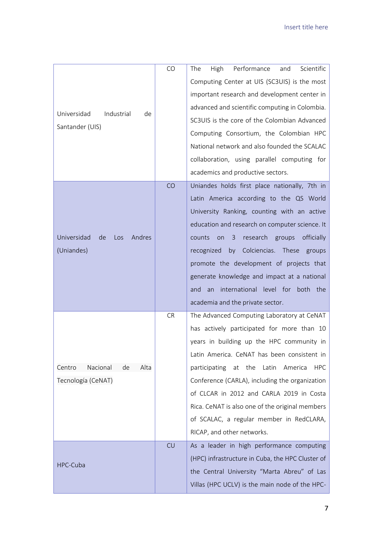|                                    | CO        | Performance<br>Scientific<br>The<br>High<br>and                                               |
|------------------------------------|-----------|-----------------------------------------------------------------------------------------------|
|                                    |           | Computing Center at UIS (SC3UIS) is the most                                                  |
|                                    |           | important research and development center in                                                  |
|                                    |           | advanced and scientific computing in Colombia.                                                |
| Universidad<br>Industrial<br>de    |           | SC3UIS is the core of the Colombian Advanced                                                  |
| Santander (UIS)                    |           | Computing Consortium, the Colombian HPC                                                       |
|                                    |           | National network and also founded the SCALAC                                                  |
|                                    |           | collaboration, using parallel computing for                                                   |
|                                    |           | academics and productive sectors.                                                             |
|                                    | CO        | Uniandes holds first place nationally, 7th in                                                 |
|                                    |           | Latin America according to the QS World                                                       |
|                                    |           | University Ranking, counting with an active                                                   |
|                                    |           | education and research on computer science. It                                                |
| Universidad<br>de<br>Andres<br>Los |           | officially<br>counts<br>research<br>groups<br>on<br>3                                         |
| (Uniandes)                         |           | Colciencias. These<br>recognized<br>by<br>groups                                              |
|                                    |           | promote the development of projects that                                                      |
|                                    |           | generate knowledge and impact at a national                                                   |
|                                    |           |                                                                                               |
|                                    |           | international level for both the<br>and<br>an                                                 |
|                                    |           | academia and the private sector.                                                              |
|                                    | <b>CR</b> | The Advanced Computing Laboratory at CeNAT                                                    |
|                                    |           | has actively participated for more than 10                                                    |
|                                    |           | years in building up the HPC community in                                                     |
|                                    |           | Latin America. CeNAT has been consistent in                                                   |
| Nacional<br>Centro<br>Alta<br>de   |           | at the<br>Latin<br>participating<br>America<br>HPC                                            |
| Tecnología (CeNAT)                 |           | Conference (CARLA), including the organization                                                |
|                                    |           | of CLCAR in 2012 and CARLA 2019 in Costa                                                      |
|                                    |           | Rica. CeNAT is also one of the original members                                               |
|                                    |           | of SCALAC, a regular member in RedCLARA,                                                      |
|                                    |           | RICAP, and other networks.                                                                    |
|                                    | CU        | As a leader in high performance computing                                                     |
| HPC-Cuba                           |           | (HPC) infrastructure in Cuba, the HPC Cluster of                                              |
|                                    |           | the Central University "Marta Abreu" of Las<br>Villas (HPC UCLV) is the main node of the HPC- |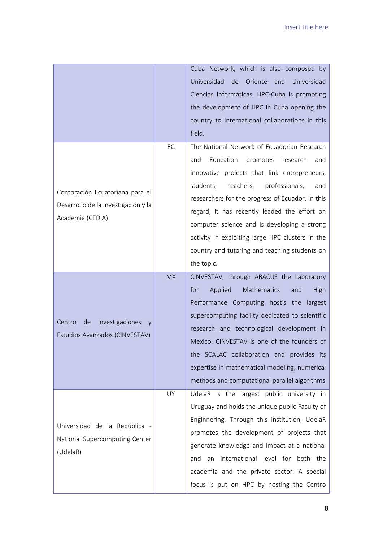|                                                                                            |           | Cuba Network, which is also composed by<br>Universidad<br>de<br>Oriente<br>and<br>Universidad<br>Ciencias Informáticas. HPC-Cuba is promoting<br>the development of HPC in Cuba opening the<br>country to international collaborations in this<br>field.                                                                                                                                                                                                                |
|--------------------------------------------------------------------------------------------|-----------|-------------------------------------------------------------------------------------------------------------------------------------------------------------------------------------------------------------------------------------------------------------------------------------------------------------------------------------------------------------------------------------------------------------------------------------------------------------------------|
| Corporación Ecuatoriana para el<br>Desarrollo de la Investigación y la<br>Academia (CEDIA) | EC        | The National Network of Ecuadorian Research<br>Education<br>promotes<br>and<br>research<br>and<br>innovative projects that link entrepreneurs,<br>students,<br>teachers,<br>professionals,<br>and<br>researchers for the progress of Ecuador. In this<br>regard, it has recently leaded the effort on<br>computer science and is developing a strong<br>activity in exploiting large HPC clusters in the<br>country and tutoring and teaching students on<br>the topic. |
| Investigaciones<br>Centro<br>de<br>V<br>Estudios Avanzados (CINVESTAV)                     | <b>MX</b> | CINVESTAV, through ABACUS the Laboratory<br>Mathematics<br>for<br>Applied<br>High<br>and<br>Performance Computing host's the largest<br>supercomputing facility dedicated to scientific<br>research and technological development in<br>Mexico. CINVESTAV is one of the founders of<br>the SCALAC collaboration and provides its<br>expertise in mathematical modeling, numerical<br>methods and computational parallel algorithms                                      |
| Universidad de la República -<br>National Supercomputing Center<br>(UdelaR)                | UY        | UdelaR is the largest public university in<br>Uruguay and holds the unique public Faculty of<br>Enginnering. Through this institution, UdelaR<br>promotes the development of projects that<br>generate knowledge and impact at a national<br>international level for both the<br>an<br>and<br>academia and the private sector. A special<br>focus is put on HPC by hosting the Centro                                                                                   |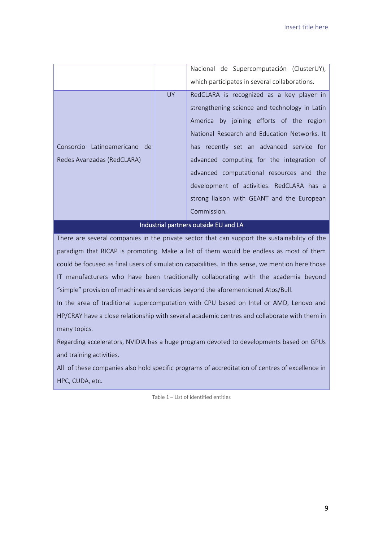|                                       |           | Nacional de Supercomputación (ClusterUY),     |
|---------------------------------------|-----------|-----------------------------------------------|
|                                       |           | which participates in several collaborations. |
|                                       | <b>UY</b> | RedCLARA is recognized as a key player in     |
|                                       |           | strengthening science and technology in Latin |
|                                       |           | America by joining efforts of the region      |
|                                       |           | National Research and Education Networks. It  |
| Consorcio Latinoamericano de          |           | has recently set an advanced service for      |
| Redes Avanzadas (RedCLARA)            |           | advanced computing for the integration of     |
|                                       |           | advanced computational resources and the      |
|                                       |           | development of activities. RedCLARA has a     |
|                                       |           | strong liaison with GEANT and the European    |
|                                       |           | Commission.                                   |
| Industrial partners outside EU and LA |           |                                               |

There are several companies in the private sector that can support the sustainability of the paradigm that RICAP is promoting. Make a list of them would be endless as most of them could be focused as final users of simulation capabilities. In this sense, we mention here those IT manufacturers who have been traditionally collaborating with the academia beyond "simple" provision of machines and services beyond the aforementioned Atos/Bull.

In the area of traditional supercomputation with CPU based on Intel or AMD, Lenovo and HP/CRAY have a close relationship with several academic centres and collaborate with them in many topics.

Regarding accelerators, NVIDIA has a huge program devoted to developments based on GPUs and training activities.

<span id="page-13-0"></span>All of these companies also hold specific programs of accreditation of centres of excellence in HPC, CUDA, etc.

Table 1 – List of identified entities